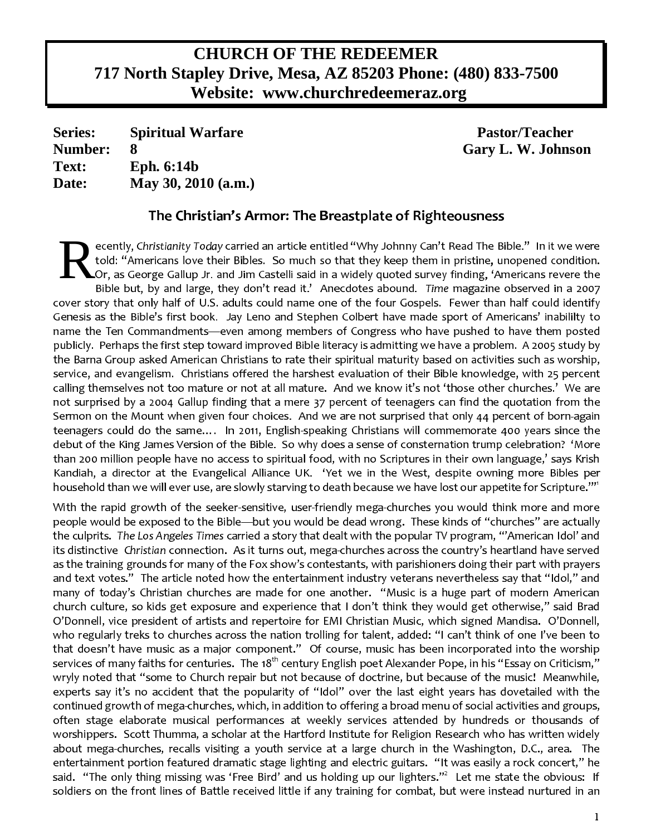# **CHURCH OF THE REDEEMER 717 North Stapley Drive, Mesa, AZ 85203 Phone: (480) 833-7500 Website: www.churchredeemeraz.org**

**Series: Spiritual Warfare Pastor/Teacher Number: 8 Gary L. W. Johnson Text: Eph. 6:14b Date: May 30, 2010 (a.m.)**

## The Christian's Armor: The Breastplate of Righteousness

R-condition  $\mathcal{C}$  . The condition of a set  $\mathcal{C}$  of  $\mathcal{C}$  of  $\mathcal{C}$  and  $\mathcal{C}$  of  $\mathcal{C}$  of  $\mathcal{C}$  of  $\mathcal{C}$  of  $\mathcal{C}$  of  $\mathcal{C}$  of  $\mathcal{C}$  of  $\mathcal{C}$  of  $\mathcal{C}$  of  $\mathcal{C}$  of  $\mathcal{C}$  of  $\mathcal{C}$ . The contract  $\mathbf{F}$  and  $\mathbf{F}$  and  $\mathbf{F}$  and  $\mathbf{F}$  . The contract of the contract of the contract of the contract of the contract of the contract of the contract of the contract of the contract of the contract Or, as George Gallup Jr. and Jim Castelli said in a widely quoted survey finding, 'Americans revere the Bible but, by and large, they don't read it.' Anecdotes abound. Time magazine observed in a 2007  $\mathcal{F}$  $\mathbb{P}$  -parameters  $\mathbb{P}$  -parameters  $\mathbb{P}$  -parameters  $\mathbb{P}$  -parameters  $\mathbb{P}$ .<br>... And the state of all films of all films of all films of all films of all films of all films of all films o  $\blacksquare$  $\mathbb{P}$  density of  $\mathbb{P}$  $\blacksquare$  $\mathcal{L}_{\mathcal{A}}$  define the contract  $\mathcal{L}_{\mathcal{A}}$  and  $\mathcal{L}_{\mathcal{A}}$  and  $\mathcal{L}_{\mathcal{A}}$  and  $\mathcal{L}_{\mathcal{A}}$ b-F\_(OP/VOP/(03M-VVOd/10"\M+-/Vj+G <sup>a</sup>-/m3OPdF,.M+OPG .L-1`XI^"/+H(\-(E1F-(/+O+0"`dF:f+FG `L-H(03ME 0OP/+2 4I+cf-F.-1/0O1mWPOPF/1E1jE1G /  $\blacksquare$  $\mathcal{U}=\mathcal{U}$ dia ang pangalang ang pangalang ang pangalang ang pangalang ang pangalang ang pangalang ang pangalang ang pang E1/H+G E1/H  $\pm$  G .E1/.-wXgnP-10(\I-G  $\pm$  O+\/+G  $\pm$  O+\/+G  $\pm$  O+\/+G  $\pm$ G  $\pm$  O+\/+G  $\pm$  $\blacksquare$  . The contraction of the contraction of the contraction of the contraction of the contraction of the contraction of the contraction of the contraction of the contraction of the contraction of the contraction of the household than we will ever use, are slowly starving to death because we have lost our appetite for Scripture."<sup>1</sup>

 3:++ p++!3p3+cL1 AL1L 3 11 ,¡1L%3 ++¢ £V¤V ¥LP¡¥1I£ ¡c¡¢ 3+ +V¤VPc1+¤VP +PP¢ II¡¢ (¦+I1§+++=:3+V¨ ¦P¢ ©{¦P¡1,£¡IIP¡+¢ ¦P1++Pª«+1= +1¬ ¥+¡¥1!1I ¥L=¡1¢ ¢ £ 3+I¥¡+¢ + :ª®1¯°±²1³µ´·¶¹¸º° »°³"®1¼½(°³"¥L1 =:PA£3 ,+1¢ 3I:++¡+¢ 1P« ¾c+P+1¤( ¬1¿À"¤V ¥1cÁ ¢ ¿1+ :+ =3 +¥L3 {Â1¯Ã:¼³=Ä:¼Å1¶¥P++1¥L3 PPªÀ, ,=¡¡ : ¤V ¥P¡¥11¥+=3¥P¡3A£1¿ 1A3¢ +(+ 1!LA1 "3+31 + +¡1+,3P¤(1£3+(ÆL+§!L++¿ ¥P:1=:11:L 3+1 L+ ++A+P +!3+ 1A 3+ £ A 1+(:1§1"131Lª[«+1A3 ¥¢ (+:V++[3+13A:1 +¤V1 +P¡133A£!11:111A:+¢ 1=L £!:+¬+Á +P¢ I1+ ¤V1£c!:P+ £1¿ VÇ++ 33 1o¥+¡¥+1(1Ao¤(1+c:PP+p1+3:ª[¬1Èc¡1L ¥V (p+¡o+1%1I¤VPpÀ,¤V ¥L1 ¥P¡¥¥¡+¢ =¡1 PLp I+11§+++¡Ac1+1§+ +¥LV3+Á++PP¿3+ +31£¡+¢ + +:+A L1 L1 ¨1 É¿%ÊPP++¢ ¢ +1 ¥V+1L +11%3 =:!1+c+A3P A:PË ÈpÁÇ++ =3 1Èc¡1L ¥ ++ ¥VL +ÈV1++ LªcÉ¿ÊPP++¢ ¢ +P¡¢ 1¢ £I33¥LP¡¥1!1¥A+=3+V 3 PV:¢ ¢ (3P31¢ 13 +1++PÌP¬+Á¥L1P¿"3+ +P+pÁ ¿1(¦+(3 3+!+P1L+¿ !+ ¤c¡1L ¥( c¤VÍ P¥P¤V+P1=ª|É"!¥¡AL1 ¤c¡1L ¥(+ ¦P1p +¥LP:+PA :p 3p:+VPAL+ LA1 ¥11,¤V1£:1 3,3P¥13¡ 1ª«+IÎ:ÏÑÐ ÒÓ¥1=¡1A£(Ë+P¢ L(++1À¢ 1§1++"Ô 1 (+ ¬+ËL=L £!PÇ+ : ¥ L¤V A£1¢ £++3(3+¬L+¤V3Ç++¡¥cA+1 "¦¡ +¦+¥1¡1L(++¥L3 +¦¡ ¦+¥L¡1L(13V¤V¡1L ¥ÕÈV1 + ¢ 1 1§++%:(L £ =¿ V+1¥¥ +1I:+I3+PP¡¢ 1 :£¬+Á +¢ +13¢ = +I£ 11AV+ V++1 31 ¢ o 3o3  $\star$  + internal + internal + internal + internal + internal + internal + internal + internal + internal + internal + internal + internal + internal + internal + internal + internal + internal + internal + internal + inter ::331 + 231 + 231 + 232 + 242 + 242 + 242 + 242 + 242 + 242 + 242 + 242 + 242 + 242 + 242 + 242 + 242 + 242 + 2 PAL+ PAª(Ö¥:"«P¡1¤V¤(1 IL¥+¢ 1, ,3+×P1AA:PpÁ =3 3¡1:I3PØ+¢ + PpØ+1L11¥(+c :: ++¢ £ t : t i international and the set of the set of the set of the set of the set of the set of the set of the set :A:1 +¤(+P%3 P:=¡AV+1¤V3 ¥=:1V¢ : +V1+V¢ ¥=3 ¥!+¡ :1AªV¬+Á "I L ¢ £!P¥I¥P¥1A3 I+ L1 Pªo¬«+cPP¢ £:+ +¤V =L c Ù%ÆLAo¨ P¿P +p¡1I+¢ + +¡+P¡¢ +1:Aª¹ÚÜÛL ¤VV333(3+c+¦+1 ¡1ÌÁ soldiers on the front lines of Battle received little if any training for combat, but were instead nurtured in an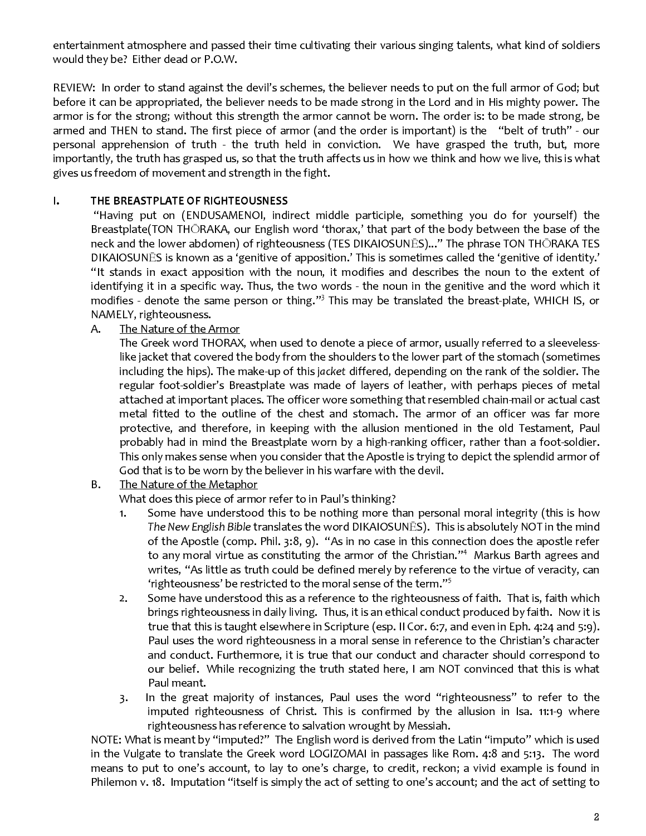entertainment atmosphere and passed their time cultivating their various singing talents, what kind of soldiers would they be? Either dead or P.O.W.

REVIEW: In order to stand against the devil's schemes, the believer needs to put on the full armor of God; but before it can be appropriated, the believer needs to be made strong in the Lord and in His mighty power. The armor is for the strong; without this strength the armor cannot be worn. The order is: to be made strong, be armed and THEN to stand. The first piece of armor (and the order is important) is the "belt of truth" - our personal apprehension of truth - the truth held in conviction. We have grasped the truth, but, more importantly, the truth has grasped us, so that the truth affects us in how we think and how we live, this is what gives us freedom of movement and strength in the fight.

#### THE BREASTPLATE OF RIGHTEOUSNESS  $\mathbf{L}$

"Having put on (ENDUSAMENOI, indirect middle participle, something you do for yourself) the Breastplate(TON THORAKA, our English word 'thorax,' that part of the body between the base of the neck and the lower abdomen) of righteousness (TES DIKAIOSUNES)..." The phrase TON THORAKA TES DIKAIOSUNES is known as a 'genitive of apposition.' This is sometimes called the 'genitive of identity.' "It stands in exact apposition with the noun, it modifies and describes the noun to the extent of identifying it in a specific way. Thus, the two words - the noun in the genitive and the word which it modifies - denote the same person or thing."<sup>3</sup> This may be translated the breast-plate, WHICH IS, or NAMELY, righteousness.

#### The Nature of the Armor Α.

The Greek word THORAX, when used to denote a piece of armor, usually referred to a sleevelesslike jacket that covered the body from the shoulders to the lower part of the stomach (sometimes including the hips). The make-up of this jacket differed, depending on the rank of the soldier. The regular foot-soldier's Breastplate was made of layers of leather, with perhaps pieces of metal attached at important places. The officer wore something that resembled chain-mail or actual cast metal fitted to the outline of the chest and stomach. The armor of an officer was far more protective, and therefore, in keeping with the allusion mentioned in the old Testament, Paul probably had in mind the Breastplate worn by a high-ranking officer, rather than a foot-soldier. This only makes sense when you consider that the Apostle is trying to depict the splendid armor of God that is to be worn by the believer in his warfare with the devil.

#### **B.** The Nature of the Metaphor

What does this piece of armor refer to in Paul's thinking?

- Some have understood this to be nothing more than personal moral integrity (this is how  $1<sub>1</sub>$ The New English Bible translates the word DIKAIOSUNES). This is absolutely NOT in the mind of the Apostle (comp. Phil. 3:8, 9). "As in no case in this connection does the apostle refer to any moral virtue as constituting the armor of the Christian." $4\,$  Markus Barth agrees and writes, "As little as truth could be defined merely by reference to the virtue of veracity, can 'righteousness' be restricted to the moral sense of the term."<sup>5</sup>
- Some have understood this as a reference to the righteousness of faith. That is, faith which  $2.$ brings righteousness in daily living. Thus, it is an ethical conduct produced by faith. Now it is true that this is taught elsewhere in Scripture (esp. II Cor. 6:7, and even in Eph. 4:24 and 5:9). Paul uses the word righteousness in a moral sense in reference to the Christian's character and conduct. Furthermore, it is true that our conduct and character should correspond to our belief. While recognizing the truth stated here, I am NOT convinced that this is what Paul meant.
- In the great majority of instances, Paul uses the word "righteousness" to refer to the  $\overline{3}$ . imputed righteousness of Christ. This is confirmed by the allusion in Isa. 11:1-9 where righteousness has reference to salvation wrought by Messiah.

NOTE: What is meant by "imputed?" The English word is derived from the Latin "imputo" which is used in the Vulgate to translate the Greek word LOGIZOMAI in passages like Rom. 4:8 and 5:13. The word means to put to one's account, to lay to one's charge, to credit, reckon; a vivid example is found in Philemon v. 18. Imputation "itself is simply the act of setting to one's account; and the act of setting to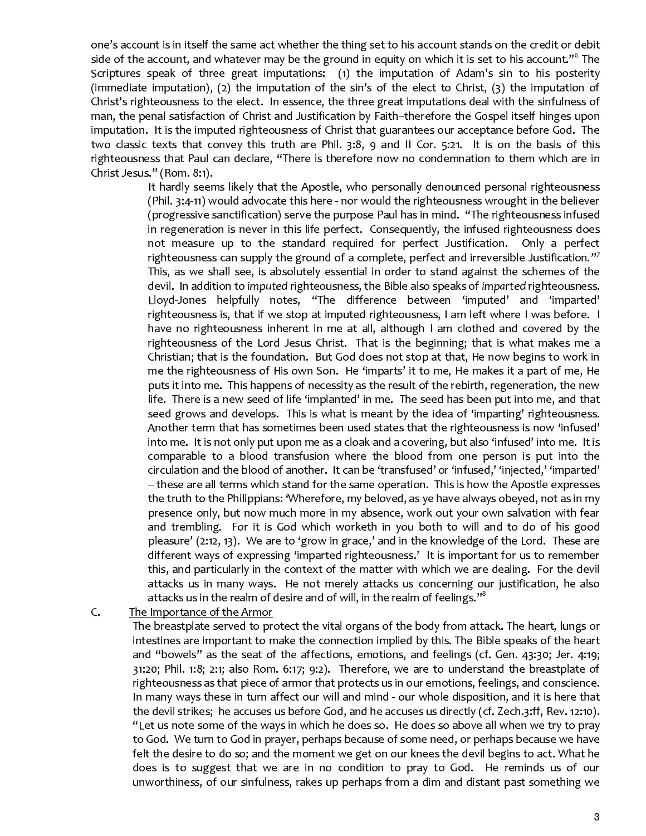one's account is in itself the same act whether the thing set to his account stands on the credit or debit side of the account, and whatever may be the ground in equity on which it is set to his account."<sup>6</sup> The Scriptures speak of three great imputations: (1) the imputation of Adam's sin to his posterity (immediate imputation), (2) the imputation of the sin's of the elect to Christ, (3) the imputation of Christ's righteousness to the elect. In essence, the three great imputations deal with the sinfulness of man, the penal satisfaction of Christ and Justification by Faith-therefore the Gospel itself hinges upon imputation. It is the imputed righteousness of Christ that guarantees our acceptance before God. The two classic texts that convey this truth are Phil. 3:8, 9 and II Cor. 5:21. It is on the basis of this righteousness that Paul can declare, "There is therefore now no condemnation to them which are in Christ Jesus." (Rom. 8:1).

> It hardly seems likely that the Apostle, who personally denounced personal righteousness (Phil. 3:4-11) would advocate this here - nor would the righteousness wrought in the believer (progressive sanctification) serve the purpose Paul has in mind. "The righteousness infused in regeneration is never in this life perfect. Consequently, the infused righteousness does not measure up to the standard required for perfect Justification. Only a perfect righteousness can supply the ground of a complete, perfect and irreversible Justification."<sup>7</sup> This, as we shall see, is absolutely essential in order to stand against the schemes of the devil. In addition to imputed righteousness, the Bible also speaks of imparted righteousness. Lloyd-Jones helpfully notes, "The difference between 'imputed' and 'imparted' righteousness is, that if we stop at imputed righteousness, I am left where I was before. I have no righteousness inherent in me at all, although I am clothed and covered by the righteousness of the Lord Jesus Christ. That is the beginning; that is what makes me a Christian; that is the foundation. But God does not stop at that, He now begins to work in me the righteousness of His own Son. He 'imparts' it to me, He makes it a part of me, He puts it into me. This happens of necessity as the result of the rebirth, regeneration, the new life. There is a new seed of life 'implanted' in me. The seed has been put into me, and that seed grows and develops. This is what is meant by the idea of 'imparting' righteousness. Another term that has sometimes been used states that the righteousness is now 'infused' into me. It is not only put upon me as a cloak and a covering, but also 'infused' into me. It is comparable to a blood transfusion where the blood from one person is put into the circulation and the blood of another. It can be 'transfused' or 'infused,' 'injected,' 'imparted' - these are all terms which stand for the same operation. This is how the Apostle expresses the truth to the Philippians: 'Wherefore, my beloved, as ye have always obeyed, not as in my presence only, but now much more in my absence, work out your own salvation with fear and trembling. For it is God which worketh in you both to will and to do of his good pleasure' (2:12, 13). We are to 'grow in grace,' and in the knowledge of the Lord. These are different ways of expressing 'imparted righteousness.' It is important for us to remember this, and particularly in the context of the matter with which we are dealing. For the devil attacks us in many ways. He not merely attacks us concerning our justification, he also attacks us in the realm of desire and of will, in the realm of feelings. $"^\mathrm{8}$

 $\mathsf{C}$ . The Importance of the Armor

> The breastplate served to protect the vital organs of the body from attack. The heart, lungs or intestines are important to make the connection implied by this. The Bible speaks of the heart and "bowels" as the seat of the affections, emotions, and feelings (cf. Gen. 43:30; Jer. 4:19;  $31:20$ ; Phil. 1:8; 2:1; also Rom. 6:17; 9:2). Therefore, we are to understand the breastplate of righteousness as that piece of armor that protects us in our emotions, feelings, and conscience. In many ways these in turn affect our will and mind - our whole disposition, and it is here that the devil strikes;-he accuses us before God, and he accuses us directly (cf. Zech.3:ff, Rev. 12:10). "Let us note some of the ways in which he does so. He does so above all when we try to pray to God. We turn to God in prayer, perhaps because of some need, or perhaps because we have felt the desire to do so; and the moment we get on our knees the devil begins to act. What he does is to suggest that we are in no condition to pray to God. He reminds us of our unworthiness, of our sinfulness, rakes up perhaps from a dim and distant past something we